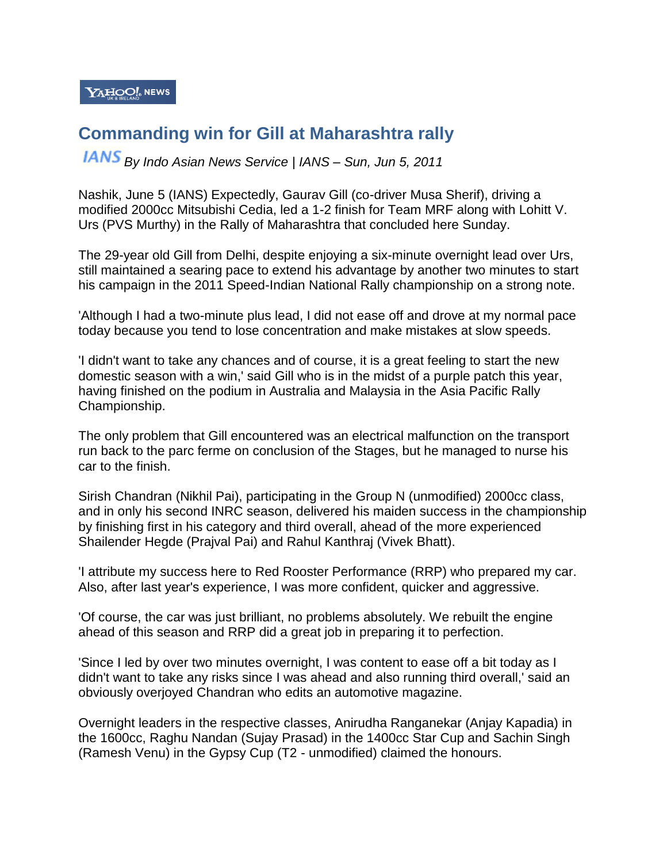$\mathbf{Y}$ AHOO!. NEWS

## **Commanding win for Gill at Maharashtra rally**

*By Indo Asian News Service | IANS – Sun, Jun 5, 2011*

Nashik, June 5 (IANS) Expectedly, Gaurav Gill (co-driver Musa Sherif), driving a modified 2000cc Mitsubishi Cedia, led a 1-2 finish for Team MRF along with Lohitt V. Urs (PVS Murthy) in the Rally of Maharashtra that concluded here Sunday.

The 29-year old Gill from Delhi, despite enjoying a six-minute overnight lead over Urs, still maintained a searing pace to extend his advantage by another two minutes to start his campaign in the 2011 Speed-Indian National Rally championship on a strong note.

'Although I had a two-minute plus lead, I did not ease off and drove at my normal pace today because you tend to lose concentration and make mistakes at slow speeds.

'I didn't want to take any chances and of course, it is a great feeling to start the new domestic season with a win,' said Gill who is in the midst of a purple patch this year, having finished on the podium in Australia and Malaysia in the Asia Pacific Rally Championship.

The only problem that Gill encountered was an electrical malfunction on the transport run back to the parc ferme on conclusion of the Stages, but he managed to nurse his car to the finish.

Sirish Chandran (Nikhil Pai), participating in the Group N (unmodified) 2000cc class, and in only his second INRC season, delivered his maiden success in the championship by finishing first in his category and third overall, ahead of the more experienced Shailender Hegde (Prajval Pai) and Rahul Kanthraj (Vivek Bhatt).

'I attribute my success here to Red Rooster Performance (RRP) who prepared my car. Also, after last year's experience, I was more confident, quicker and aggressive.

'Of course, the car was just brilliant, no problems absolutely. We rebuilt the engine ahead of this season and RRP did a great job in preparing it to perfection.

'Since I led by over two minutes overnight, I was content to ease off a bit today as I didn't want to take any risks since I was ahead and also running third overall,' said an obviously overjoyed Chandran who edits an automotive magazine.

Overnight leaders in the respective classes, Anirudha Ranganekar (Anjay Kapadia) in the 1600cc, Raghu Nandan (Sujay Prasad) in the 1400cc Star Cup and Sachin Singh (Ramesh Venu) in the Gypsy Cup (T2 - unmodified) claimed the honours.